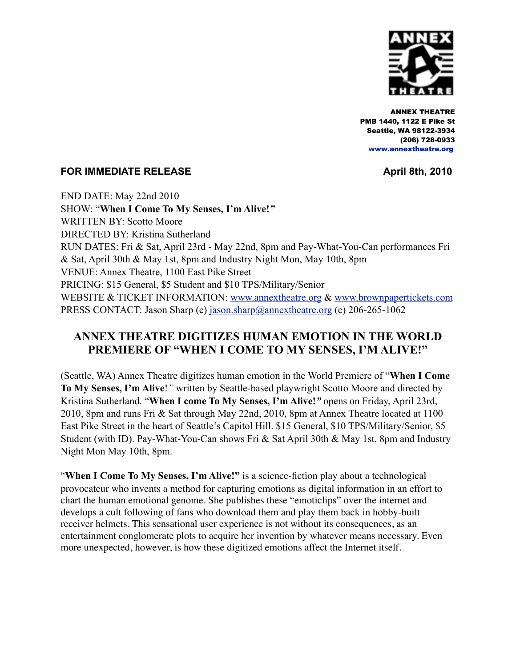

 ANNEX THEATRE PMB 1440, 1122 E Pike St Seattle, WA 98122-3934 (206) 728-0933  [www.annextheatre.org](http://www.annextheatre.org)

## **FOR IMMEDIATE RELEASE April 8th, 2010**

END DATE: May 22nd 2010 SHOW: "**When I Come To My Senses, I'm Alive!***"*  WRITTEN BY: Scotto Moore DIRECTED BY: Kristina Sutherland RUN DATES: Fri & Sat, April 23rd - May 22nd, 8pm and Pay-What-You-Can performances Fri & Sat, April 30th & May 1st, 8pm and Industry Night Mon, May 10th, 8pm VENUE: Annex Theatre, 1100 East Pike Street PRICING: \$15 General, \$5 Student and \$10 TPS/Military/Senior WEBSITE & TICKET INFORMATION: [www.annextheatre.org](http://www.annextheatre.org) & [www.brownpapertickets.com](http://www.brownpapertickets.com) PRESS CONTACT: Jason Sharp (e) [jason.sharp@annextheatre.org](mailto:jason.sharp@annextheatre.org) (c) 206-265-1062

## **ANNEX THEATRE DIGITIZES HUMAN EMOTION IN THE WORLD PREMIERE OF "WHEN I COME TO MY SENSES, I'M ALIVE!"**

(Seattle, WA) Annex Theatre digitizes human emotion in the World Premiere of "**When I Come To My Senses, I'm Alive**!*"* written by Seattle-based playwright Scotto Moore and directed by Kristina Sutherland. "**When I come To My Senses, I'm Alive!***"* opens on Friday, April 23rd, 2010, 8pm and runs Fri & Sat through May 22nd, 2010, 8pm at Annex Theatre located at 1100 East Pike Street in the heart of Seattle's Capitol Hill. \$15 General, \$10 TPS/Military/Senior, \$5 Student (with ID). Pay-What-You-Can shows Fri & Sat April 30th & May 1st, 8pm and Industry Night Mon May 10th, 8pm.

"**When I Come To My Senses, I'm Alive!"** is a science-fiction play about a technological provocateur who invents a method for capturing emotions as digital information in an effort to chart the human emotional genome. She publishes these "emoticlips" over the internet and develops a cult following of fans who download them and play them back in hobby-built receiver helmets. This sensational user experience is not without its consequences, as an entertainment conglomerate plots to acquire her invention by whatever means necessary. Even more unexpected, however, is how these digitized emotions affect the Internet itself.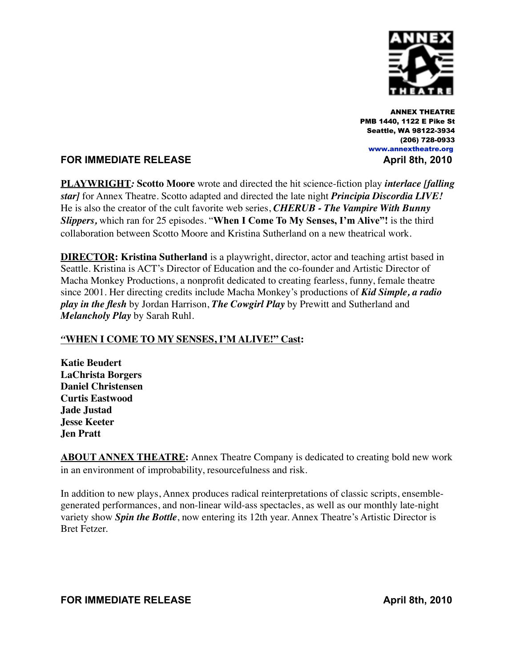

 ANNEX THEATRE PMB 1440, 1122 E Pike St Seattle, WA 98122-3934 (206) 728-0933  [www.annextheatre.org](http://www.annextheatre.org)

## **FOR IMMEDIATE RELEASE April 8th, 2010**

**PLAYWRIGHT***:* **Scotto Moore** wrote and directed the hit science-fiction play *interlace [falling star]* for Annex Theatre. Scotto adapted and directed the late night *Principia Discordia LIVE!*  He is also the creator of the cult favorite web series, *CHERUB - The Vampire With Bunny Slippers,* which ran for 25 episodes. "**When I Come To My Senses, I'm Alive"!** is the third collaboration between Scotto Moore and Kristina Sutherland on a new theatrical work.

**DIRECTOR: Kristina Sutherland** is a playwright, director, actor and teaching artist based in Seattle. Kristina is ACT's Director of Education and the co-founder and Artistic Director of Macha Monkey Productions, a nonprofit dedicated to creating fearless, funny, female theatre since 2001. Her directing credits include Macha Monkey's productions of *Kid Simple, a radio play in the flesh* by Jordan Harrison, *The Cowgirl Play* by Prewitt and Sutherland and *Melancholy Play* by Sarah Ruhl.

## *"***WHEN I COME TO MY SENSES, I'M ALIVE!" Cast:**

**Katie Beudert LaChrista Borgers Daniel Christensen Curtis Eastwood Jade Justad Jesse Keeter Jen Pratt**

**ABOUT ANNEX THEATRE:** Annex Theatre Company is dedicated to creating bold new work in an environment of improbability, resourcefulness and risk.

In addition to new plays, Annex produces radical reinterpretations of classic scripts, ensemblegenerated performances, and non-linear wild-ass spectacles, as well as our monthly late-night variety show *Spin the Bottle*, now entering its 12th year. Annex Theatre's Artistic Director is Bret Fetzer.